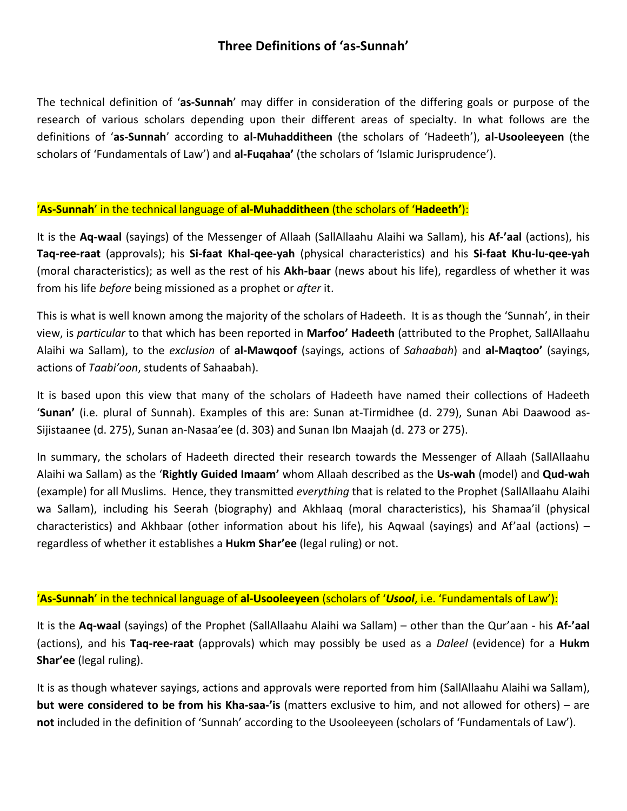## **Three Definitions of 'as-Sunnah'**

The technical definition of '**as-Sunnah**' may differ in consideration of the differing goals or purpose of the research of various scholars depending upon their different areas of specialty. In what follows are the definitions of '**as-Sunnah**' according to **al-Muhadditheen** (the scholars of 'Hadeeth'), **al-Usooleeyeen** (the scholars of 'Fundamentals of Law') and **al-Fuqahaa'** (the scholars of 'Islamic Jurisprudence').

## '**As-Sunnah**' in the technical language of **al-Muhadditheen** (the scholars of '**Hadeeth'**):

It is the **Aq-waal** (sayings) of the Messenger of Allaah (SallAllaahu Alaihi wa Sallam), his **Af-'aal** (actions), his **Taq-ree-raat** (approvals); his **Si-faat Khal-qee-yah** (physical characteristics) and his **Si-faat Khu-lu-qee-yah** (moral characteristics); as well as the rest of his **Akh-baar** (news about his life), regardless of whether it was from his life *before* being missioned as a prophet or *after* it.

This is what is well known among the majority of the scholars of Hadeeth. It is as though the 'Sunnah', in their view, is *particular* to that which has been reported in **Marfoo' Hadeeth** (attributed to the Prophet, SallAllaahu Alaihi wa Sallam), to the *exclusion* of **al-Mawqoof** (sayings, actions of *Sahaabah*) and **al-Maqtoo'** (sayings, actions of *Taabi'oon*, students of Sahaabah).

It is based upon this view that many of the scholars of Hadeeth have named their collections of Hadeeth '**Sunan'** (i.e. plural of Sunnah). Examples of this are: Sunan at-Tirmidhee (d. 279), Sunan Abi Daawood as-Sijistaanee (d. 275), Sunan an-Nasaa'ee (d. 303) and Sunan Ibn Maajah (d. 273 or 275).

In summary, the scholars of Hadeeth directed their research towards the Messenger of Allaah (SallAllaahu Alaihi wa Sallam) as the '**Rightly Guided Imaam'** whom Allaah described as the **Us-wah** (model) and **Qud-wah** (example) for all Muslims. Hence, they transmitted *everything* that is related to the Prophet (SallAllaahu Alaihi wa Sallam), including his Seerah (biography) and Akhlaaq (moral characteristics), his Shamaa'il (physical characteristics) and Akhbaar (other information about his life), his Aqwaal (sayings) and Af'aal (actions) – regardless of whether it establishes a **Hukm Shar'ee** (legal ruling) or not.

## '**As-Sunnah**' in the technical language of **al-Usooleeyeen** (scholars of '*Usool*, i.e. 'Fundamentals of Law'):

It is the **Aq-waal** (sayings) of the Prophet (SallAllaahu Alaihi wa Sallam) – other than the Qur'aan - his **Af-'aal** (actions), and his **Taq-ree-raat** (approvals) which may possibly be used as a *Daleel* (evidence) for a **Hukm Shar'ee** (legal ruling).

It is as though whatever sayings, actions and approvals were reported from him (SallAllaahu Alaihi wa Sallam), **but were considered to be from his Kha-saa-'is** (matters exclusive to him, and not allowed for others) – are **not** included in the definition of 'Sunnah' according to the Usooleeyeen (scholars of 'Fundamentals of Law').